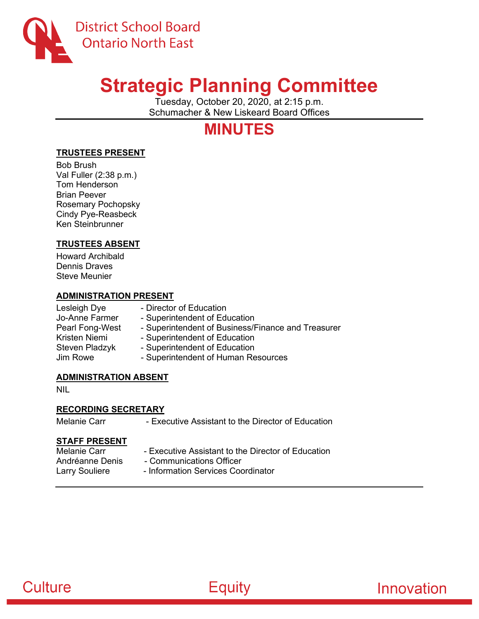

# **Strategic Planning Committee**

Tuesday, October 20, 2020, at 2:15 p.m. Schumacher & New Liskeard Board Offices

# **MINUTES**

# **TRUSTEES PRESENT**

Bob Brush Val Fuller (2:38 p.m.) Tom Henderson Brian Peever Rosemary Pochopsky Cindy Pye-Reasbeck Ken Steinbrunner

## **TRUSTEES ABSENT**

Howard Archibald Dennis Draves Steve Meunier

#### **ADMINISTRATION PRESENT**

Jo-Anne Farmer - Superintendent of Education<br>Pearl Fong-West - Superintendent of Business/

- Lesleigh Dye Director of Education
	-
	- Superintendent of Business/Finance and Treasurer
- Kristen Niemi Superintendent of Education
- Steven Pladzyk Superintendent of Education
- Jim Rowe  **Superintendent of Human Resources**

## **ADMINISTRATION ABSENT**

NIL

## **RECORDING SECRETARY**

Melanie Carr **- Executive Assistant to the Director of Education** 

# **STAFF PRESENT**

- Executive Assistant to the Director of Education
- Larry Souliere Information Services Coordinator
- Andréanne Denis Communications Officer
	-



Innovation